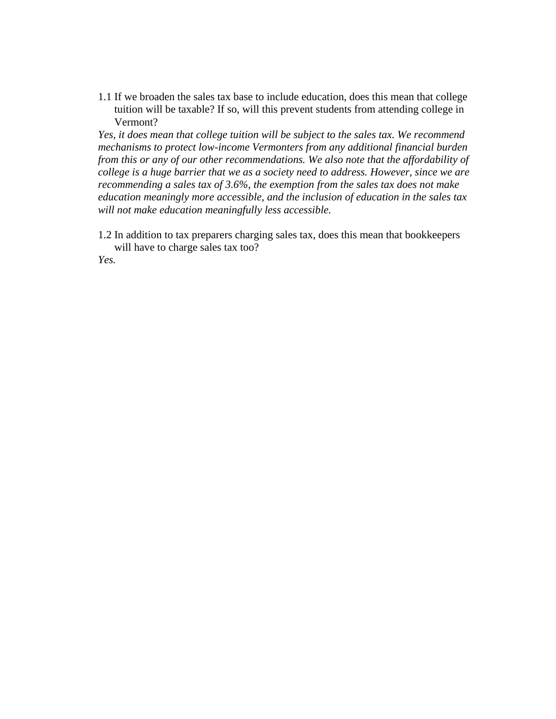1.1 If we broaden the sales tax base to include education, does this mean that college tuition will be taxable? If so, will this prevent students from attending college in Vermont?

*Yes, it does mean that college tuition will be subject to the sales tax. We recommend mechanisms to protect low-income Vermonters from any additional financial burden from this or any of our other recommendations. We also note that the affordability of college is a huge barrier that we as a society need to address. However, since we are recommending a sales tax of 3.6%, the exemption from the sales tax does not make education meaningly more accessible, and the inclusion of education in the sales tax will not make education meaningfully less accessible.*

1.2 In addition to tax preparers charging sales tax, does this mean that bookkeepers will have to charge sales tax too?

*Yes.*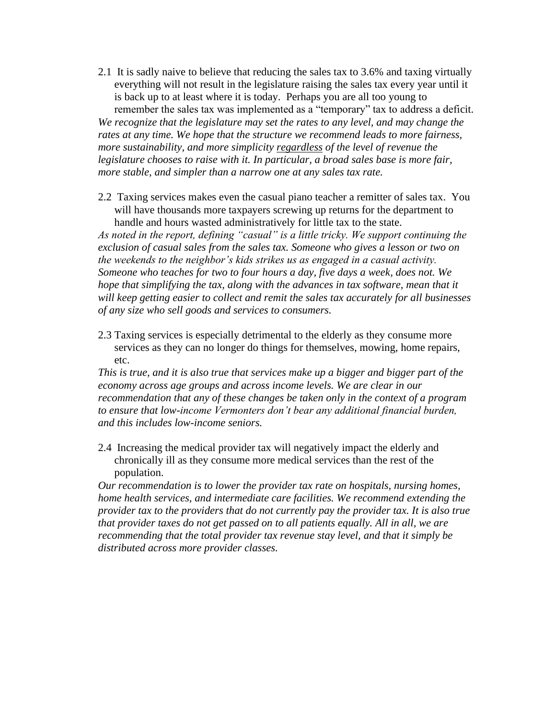- 2.1 It is sadly naive to believe that reducing the sales tax to 3.6% and taxing virtually everything will not result in the legislature raising the sales tax every year until it is back up to at least where it is today. Perhaps you are all too young to remember the sales tax was implemented as a "temporary" tax to address a deficit. *We recognize that the legislature may set the rates to any level, and may change the rates at any time. We hope that the structure we recommend leads to more fairness, more sustainability, and more simplicity regardless of the level of revenue the legislature chooses to raise with it. In particular, a broad sales base is more fair, more stable, and simpler than a narrow one at any sales tax rate.*
- 2.2 Taxing services makes even the casual piano teacher a remitter of sales tax. You will have thousands more taxpayers screwing up returns for the department to handle and hours wasted administratively for little tax to the state.

*As noted in the report, defining "casual" is a little tricky. We support continuing the exclusion of casual sales from the sales tax. Someone who gives a lesson or two on the weekends to the neighbor's kids strikes us as engaged in a casual activity. Someone who teaches for two to four hours a day, five days a week, does not. We hope that simplifying the tax, along with the advances in tax software, mean that it will keep getting easier to collect and remit the sales tax accurately for all businesses of any size who sell goods and services to consumers.*

2.3 Taxing services is especially detrimental to the elderly as they consume more services as they can no longer do things for themselves, mowing, home repairs, etc.

*This is true, and it is also true that services make up a bigger and bigger part of the economy across age groups and across income levels. We are clear in our recommendation that any of these changes be taken only in the context of a program to ensure that low-income Vermonters don't bear any additional financial burden, and this includes low-income seniors.*

2.4 Increasing the medical provider tax will negatively impact the elderly and chronically ill as they consume more medical services than the rest of the population.

*Our recommendation is to lower the provider tax rate on hospitals, nursing homes, home health services, and intermediate care facilities. We recommend extending the provider tax to the providers that do not currently pay the provider tax. It is also true that provider taxes do not get passed on to all patients equally. All in all, we are recommending that the total provider tax revenue stay level, and that it simply be distributed across more provider classes.*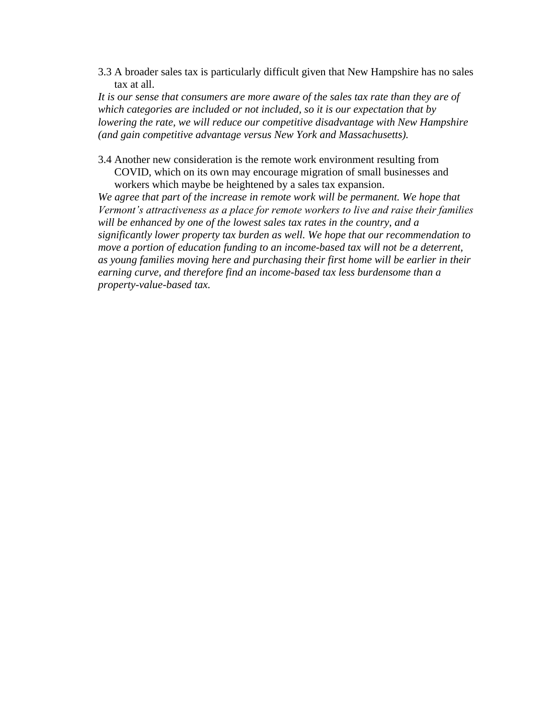3.3 A broader sales tax is particularly difficult given that New Hampshire has no sales tax at all.

*It is our sense that consumers are more aware of the sales tax rate than they are of which categories are included or not included, so it is our expectation that by lowering the rate, we will reduce our competitive disadvantage with New Hampshire (and gain competitive advantage versus New York and Massachusetts).*

3.4 Another new consideration is the remote work environment resulting from COVID, which on its own may encourage migration of small businesses and workers which maybe be heightened by a sales tax expansion.

We agree that part of the increase in remote work will be permanent. We hope that *Vermont's attractiveness as a place for remote workers to live and raise their families will be enhanced by one of the lowest sales tax rates in the country, and a significantly lower property tax burden as well. We hope that our recommendation to move a portion of education funding to an income-based tax will not be a deterrent, as young families moving here and purchasing their first home will be earlier in their earning curve, and therefore find an income-based tax less burdensome than a property-value-based tax.*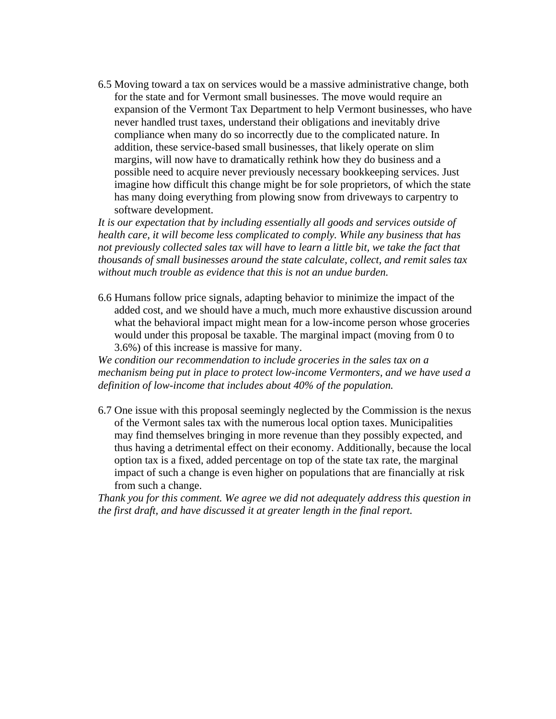6.5 Moving toward a tax on services would be a massive administrative change, both for the state and for Vermont small businesses. The move would require an expansion of the Vermont Tax Department to help Vermont businesses, who have never handled trust taxes, understand their obligations and inevitably drive compliance when many do so incorrectly due to the complicated nature. In addition, these service-based small businesses, that likely operate on slim margins, will now have to dramatically rethink how they do business and a possible need to acquire never previously necessary bookkeeping services. Just imagine how difficult this change might be for sole proprietors, of which the state has many doing everything from plowing snow from driveways to carpentry to software development.

*It is our expectation that by including essentially all goods and services outside of health care, it will become less complicated to comply. While any business that has not previously collected sales tax will have to learn a little bit, we take the fact that thousands of small businesses around the state calculate, collect, and remit sales tax without much trouble as evidence that this is not an undue burden.*

6.6 Humans follow price signals, adapting behavior to minimize the impact of the added cost, and we should have a much, much more exhaustive discussion around what the behavioral impact might mean for a low-income person whose groceries would under this proposal be taxable. The marginal impact (moving from 0 to 3.6%) of this increase is massive for many.

*We condition our recommendation to include groceries in the sales tax on a mechanism being put in place to protect low-income Vermonters, and we have used a definition of low-income that includes about 40% of the population.*

6.7 One issue with this proposal seemingly neglected by the Commission is the nexus of the Vermont sales tax with the numerous local option taxes. Municipalities may find themselves bringing in more revenue than they possibly expected, and thus having a detrimental effect on their economy. Additionally, because the local option tax is a fixed, added percentage on top of the state tax rate, the marginal impact of such a change is even higher on populations that are financially at risk from such a change.

*Thank you for this comment. We agree we did not adequately address this question in the first draft, and have discussed it at greater length in the final report.*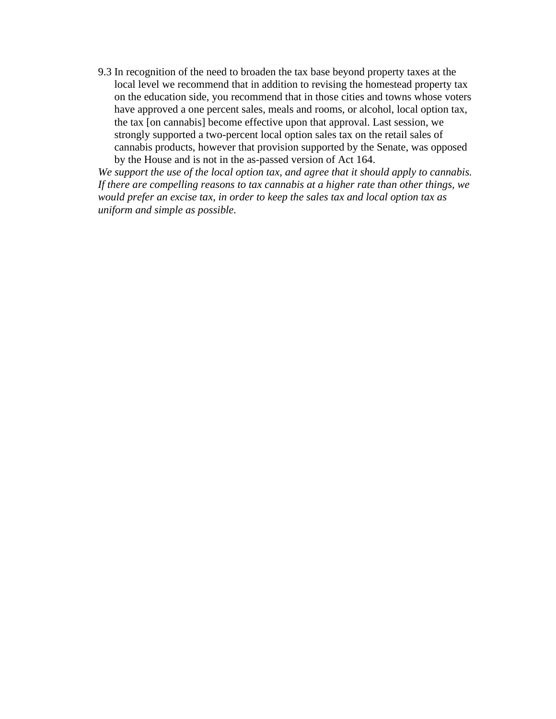9.3 In recognition of the need to broaden the tax base beyond property taxes at the local level we recommend that in addition to revising the homestead property tax on the education side, you recommend that in those cities and towns whose voters have approved a one percent sales, meals and rooms, or alcohol, local option tax, the tax [on cannabis] become effective upon that approval. Last session, we strongly supported a two-percent local option sales tax on the retail sales of cannabis products, however that provision supported by the Senate, was opposed by the House and is not in the as-passed version of Act 164.

*We support the use of the local option tax, and agree that it should apply to cannabis. If there are compelling reasons to tax cannabis at a higher rate than other things, we would prefer an excise tax, in order to keep the sales tax and local option tax as uniform and simple as possible.*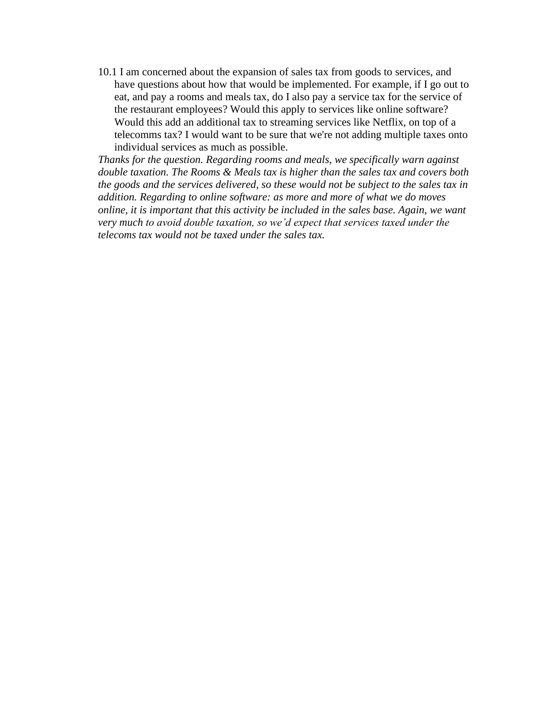10.1 I am concerned about the expansion of sales tax from goods to services, and have questions about how that would be implemented. For example, if I go out to eat, and pay a rooms and meals tax, do I also pay a service tax for the service of the restaurant employees? Would this apply to services like online software? Would this add an additional tax to streaming services like Netflix, on top of a telecomms tax? I would want to be sure that we're not adding multiple taxes onto individual services as much as possible.

*Thanks for the question. Regarding rooms and meals, we specifically warn against double taxation. The Rooms & Meals tax is higher than the sales tax and covers both the goods and the services delivered, so these would not be subject to the sales tax in addition. Regarding to online software: as more and more of what we do moves online, it is important that this activity be included in the sales base. Again, we want very much to avoid double taxation, so we'd expect that services taxed under the telecoms tax would not be taxed under the sales tax.*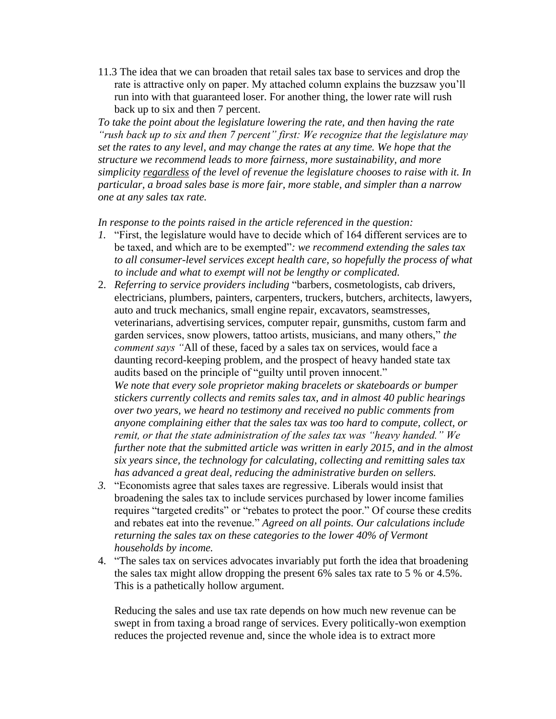11.3 The idea that we can broaden that retail sales tax base to services and drop the rate is attractive only on paper. My attached column explains the buzzsaw you'll run into with that guaranteed loser. For another thing, the lower rate will rush back up to six and then 7 percent.

*To take the point about the legislature lowering the rate, and then having the rate "rush back up to six and then 7 percent" first: We recognize that the legislature may set the rates to any level, and may change the rates at any time. We hope that the structure we recommend leads to more fairness, more sustainability, and more simplicity regardless of the level of revenue the legislature chooses to raise with it. In particular, a broad sales base is more fair, more stable, and simpler than a narrow one at any sales tax rate.*

*In response to the points raised in the article referenced in the question:*

- *1.* "First, the legislature would have to decide which of 164 different services are to be taxed, and which are to be exempted"*: we recommend extending the sales tax to all consumer-level services except health care, so hopefully the process of what to include and what to exempt will not be lengthy or complicated.*
- 2. *Referring to service providers including* "barbers, cosmetologists, cab drivers, electricians, plumbers, painters, carpenters, truckers, butchers, architects, lawyers, auto and truck mechanics, small engine repair, excavators, seamstresses, veterinarians, advertising services, computer repair, gunsmiths, custom farm and garden services, snow plowers, tattoo artists, musicians, and many others," *the comment says "*All of these, faced by a sales tax on services, would face a daunting record-keeping problem, and the prospect of heavy handed state tax audits based on the principle of "guilty until proven innocent." *We note that every sole proprietor making bracelets or skateboards or bumper stickers currently collects and remits sales tax, and in almost 40 public hearings over two years, we heard no testimony and received no public comments from anyone complaining either that the sales tax was too hard to compute, collect, or remit, or that the state administration of the sales tax was "heavy handed." We further note that the submitted article was written in early 2015, and in the almost six years since, the technology for calculating, collecting and remitting sales tax has advanced a great deal, reducing the administrative burden on sellers.*
- *3.* "Economists agree that sales taxes are regressive. Liberals would insist that broadening the sales tax to include services purchased by lower income families requires "targeted credits" or "rebates to protect the poor." Of course these credits and rebates eat into the revenue." *Agreed on all points. Our calculations include returning the sales tax on these categories to the lower 40% of Vermont households by income.*
- 4. "The sales tax on services advocates invariably put forth the idea that broadening the sales tax might allow dropping the present 6% sales tax rate to 5 % or 4.5%. This is a pathetically hollow argument.

Reducing the sales and use tax rate depends on how much new revenue can be swept in from taxing a broad range of services. Every politically-won exemption reduces the projected revenue and, since the whole idea is to extract more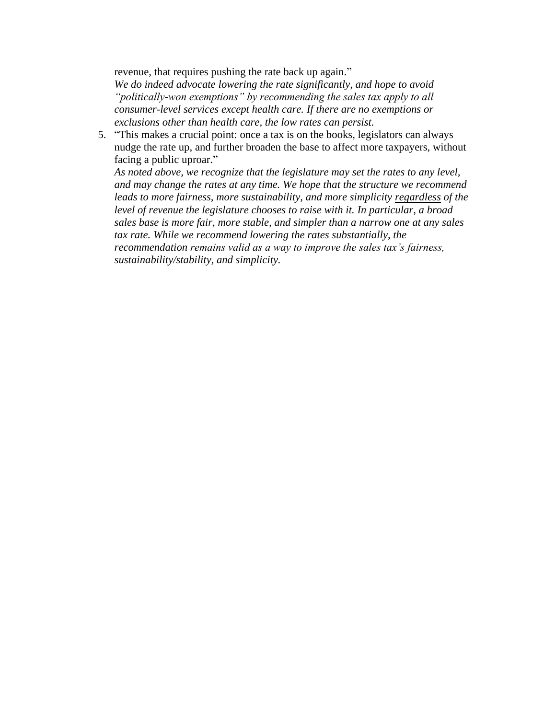revenue, that requires pushing the rate back up again." *We do indeed advocate lowering the rate significantly, and hope to avoid "politically-won exemptions" by recommending the sales tax apply to all consumer-level services except health care. If there are no exemptions or exclusions other than health care, the low rates can persist.*

5. "This makes a crucial point: once a tax is on the books, legislators can always nudge the rate up, and further broaden the base to affect more taxpayers, without facing a public uproar."

*As noted above, we recognize that the legislature may set the rates to any level, and may change the rates at any time. We hope that the structure we recommend leads to more fairness, more sustainability, and more simplicity regardless of the level of revenue the legislature chooses to raise with it. In particular, a broad sales base is more fair, more stable, and simpler than a narrow one at any sales tax rate. While we recommend lowering the rates substantially, the recommendation remains valid as a way to improve the sales tax's fairness, sustainability/stability, and simplicity.*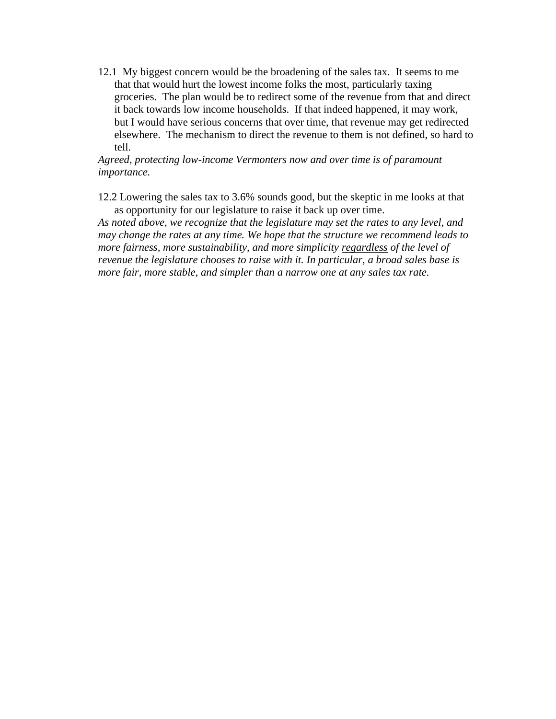12.1 My biggest concern would be the broadening of the sales tax. It seems to me that that would hurt the lowest income folks the most, particularly taxing groceries. The plan would be to redirect some of the revenue from that and direct it back towards low income households. If that indeed happened, it may work, but I would have serious concerns that over time, that revenue may get redirected elsewhere. The mechanism to direct the revenue to them is not defined, so hard to tell.

*Agreed, protecting low-income Vermonters now and over time is of paramount importance.*

12.2 Lowering the sales tax to 3.6% sounds good, but the skeptic in me looks at that as opportunity for our legislature to raise it back up over time.

*As noted above, we recognize that the legislature may set the rates to any level, and may change the rates at any time. We hope that the structure we recommend leads to more fairness, more sustainability, and more simplicity regardless of the level of revenue the legislature chooses to raise with it. In particular, a broad sales base is more fair, more stable, and simpler than a narrow one at any sales tax rate.*